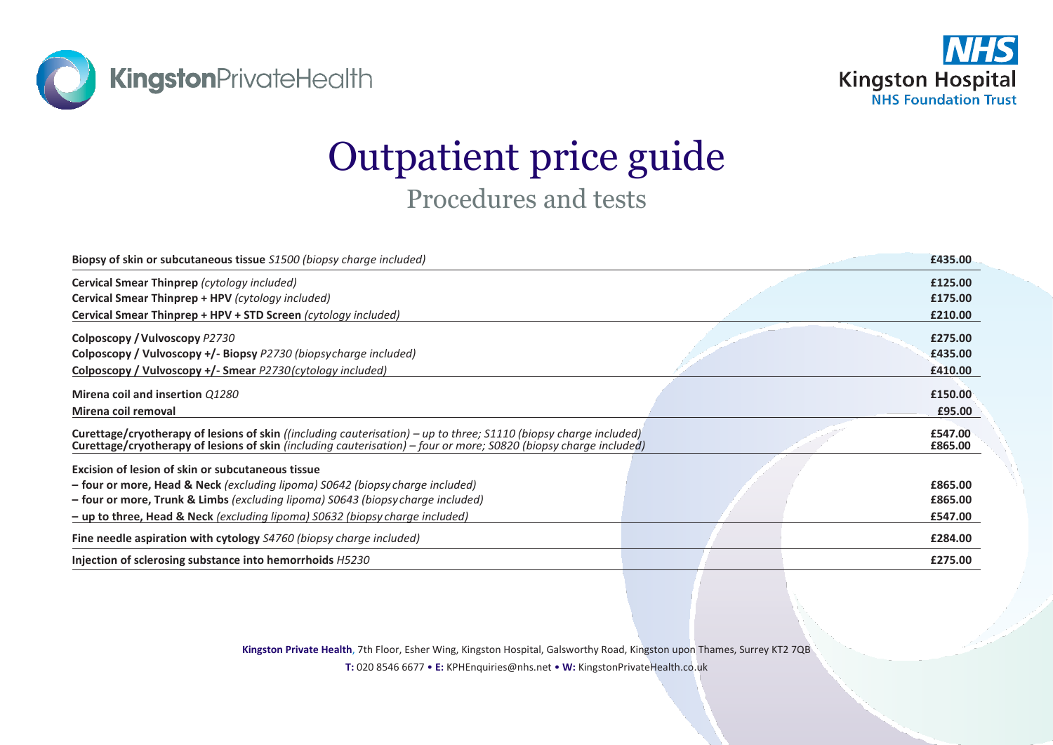



## Outpatient price guide Procedures and tests

|                                                                                                                                                                                                                                                 | £435.00            |
|-------------------------------------------------------------------------------------------------------------------------------------------------------------------------------------------------------------------------------------------------|--------------------|
|                                                                                                                                                                                                                                                 | £125.00            |
|                                                                                                                                                                                                                                                 | £175.00            |
|                                                                                                                                                                                                                                                 | £210.00            |
|                                                                                                                                                                                                                                                 | £275.00            |
|                                                                                                                                                                                                                                                 | £435.00            |
|                                                                                                                                                                                                                                                 | £410.00            |
|                                                                                                                                                                                                                                                 | £150.00            |
|                                                                                                                                                                                                                                                 | £95.00             |
| <b>Curettage/cryotherapy of lesions of skin</b> ((including cauterisation) – up to three; $S1110$ (biopsy charge included)<br>Curettage/cryotherapy of lesions of skin (including cauterisation) – four or more; S0820 (biopsy charge included) | £547.00<br>£865.00 |
|                                                                                                                                                                                                                                                 |                    |
|                                                                                                                                                                                                                                                 | £865.00            |
|                                                                                                                                                                                                                                                 | £865.00            |
|                                                                                                                                                                                                                                                 | £547.00            |
|                                                                                                                                                                                                                                                 | £284.00            |
|                                                                                                                                                                                                                                                 | £275.00            |
|                                                                                                                                                                                                                                                 |                    |

**Kingston Private Health**, 7th Floor, Esher Wing, Kingston Hospital, Galsworthy Road, Kingston upon Thames, Surrey KT2 7QB

**T:** 020 8546 6677 • **E:** KPHEnquiries@nhs.net • **W:** KingstonPrivateHealth.co.uk